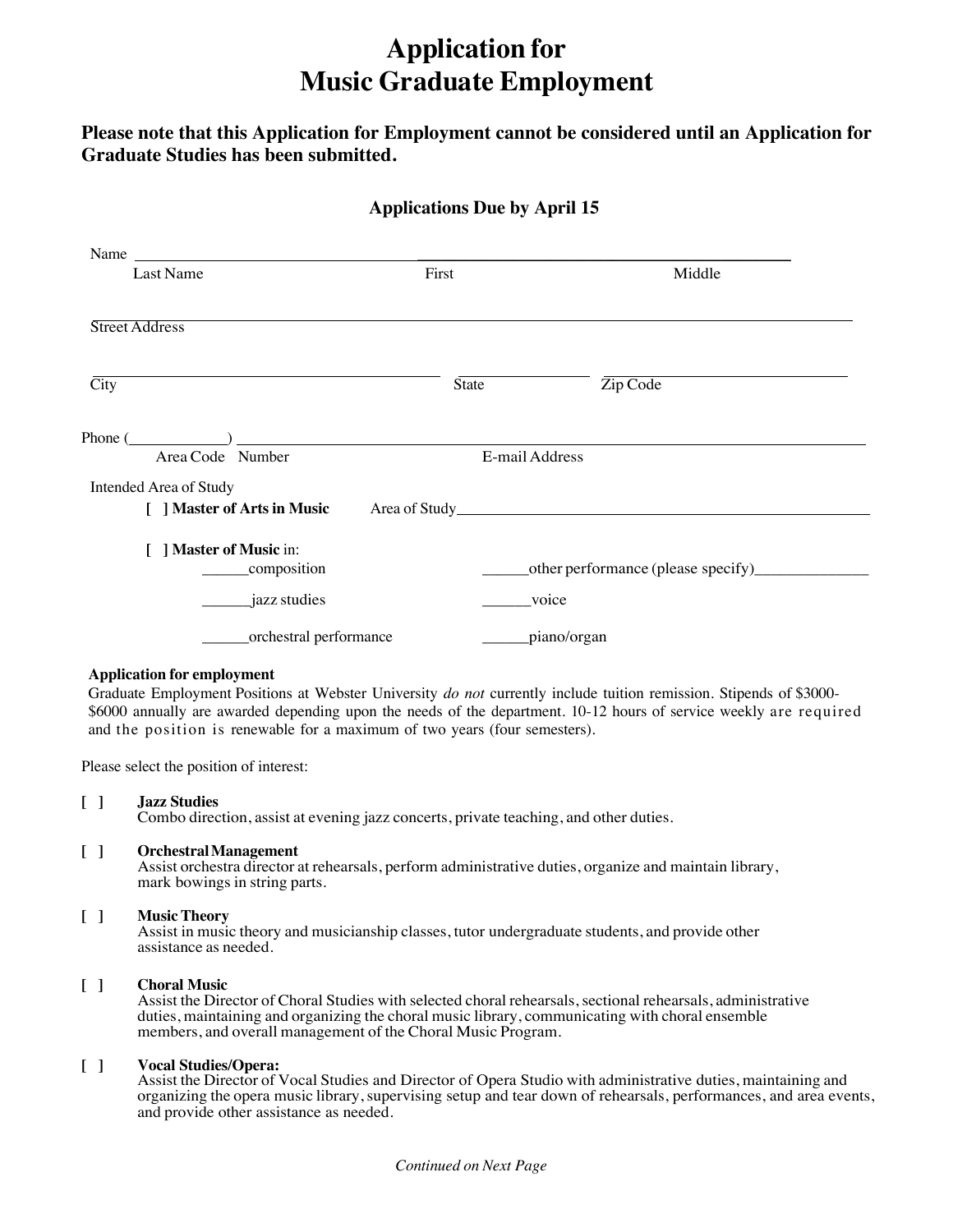# **Application for Music Graduate Employment**

**Please note that this Application for Employment cannot be considered until an Application for Graduate Studies has been submitted.** 

### **Applications Due by April 15**

| Name                                                  |       |                |                                          |  |
|-------------------------------------------------------|-------|----------------|------------------------------------------|--|
| Last Name                                             | First |                | Middle                                   |  |
| Street Address                                        |       |                |                                          |  |
| $\overline{City}$                                     | State |                | $\overline{\mathrm{Zip}\,\mathrm{Code}}$ |  |
| Phone $(\_\_)$<br>Area Code Number                    |       | E-mail Address |                                          |  |
| Intended Area of Study<br>[ ] Master of Arts in Music |       |                |                                          |  |
| ] Master of Music in:<br>composition                  |       |                |                                          |  |
| jazz studies                                          |       |                | voice                                    |  |
| _orchestral performance                               |       |                | piano/organ_                             |  |

#### **Application for employment**

Graduate Employment Positions at Webster University *do not* currently include tuition remission. Stipends of \$3000- \$6000 annually are awarded depending upon the needs of the department. 10-12 hours of service weekly are required and the position is renewable for a maximum of two years (four semesters).

Please select the position of interest:

#### **[ ] Jazz Studies**

Combo direction, assist at evening jazz concerts, private teaching, and other duties.

#### **[ ] OrchestralManagement**

Assist orchestra director at rehearsals, perform administrative duties, organize and maintain library, mark bowings in string parts.

#### **[ ] Music Theory**

Assist in music theory and musicianship classes, tutor undergraduate students, and provide other assistance as needed.

#### **[ ] Choral Music**

Assist the Director of Choral Studies with selected choral rehearsals, sectional rehearsals, administrative duties, maintaining and organizing the choral music library, communicating with choral ensemble members, and overall management of the Choral Music Program.

#### **[ ] Vocal Studies/Opera:**

Assist the Director of Vocal Studies and Director of Opera Studio with administrative duties, maintaining and organizing the opera music library,supervising setup and tear down of rehearsals, performances, and area events, and provide other assistance as needed.